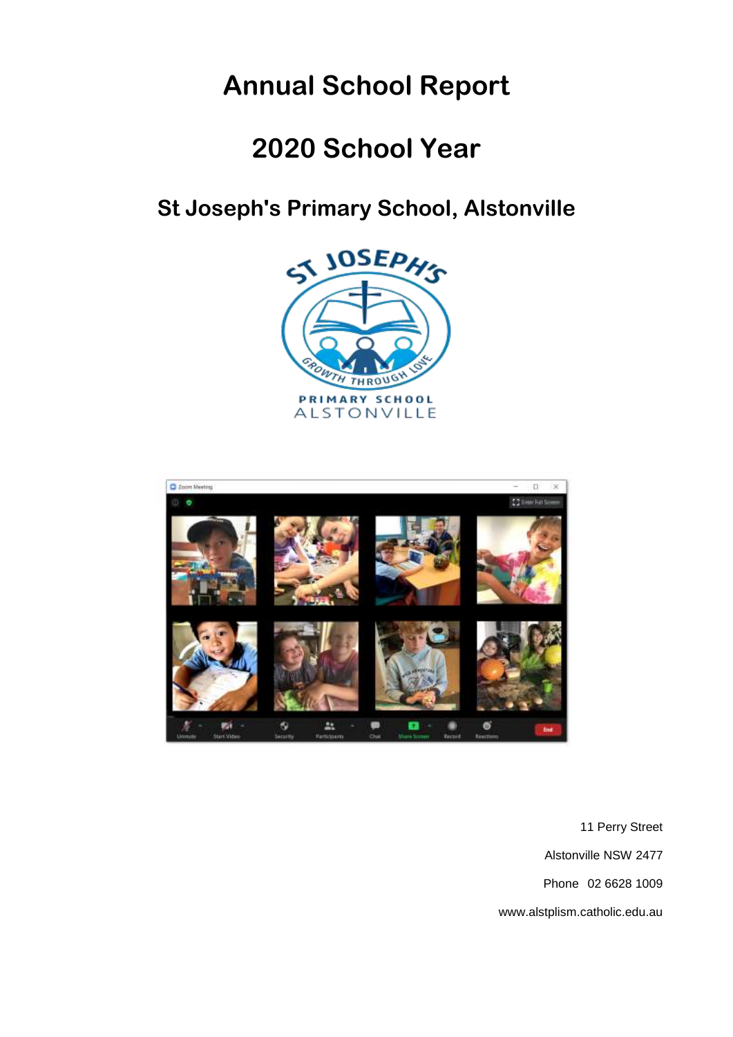# **Annual School Report**

# **2020 School Year**

## **St Joseph's Primary School, Alstonville**





11 Perry Street Alstonville NSW 2477 Phone 02 6628 1009 www.alstplism.catholic.edu.au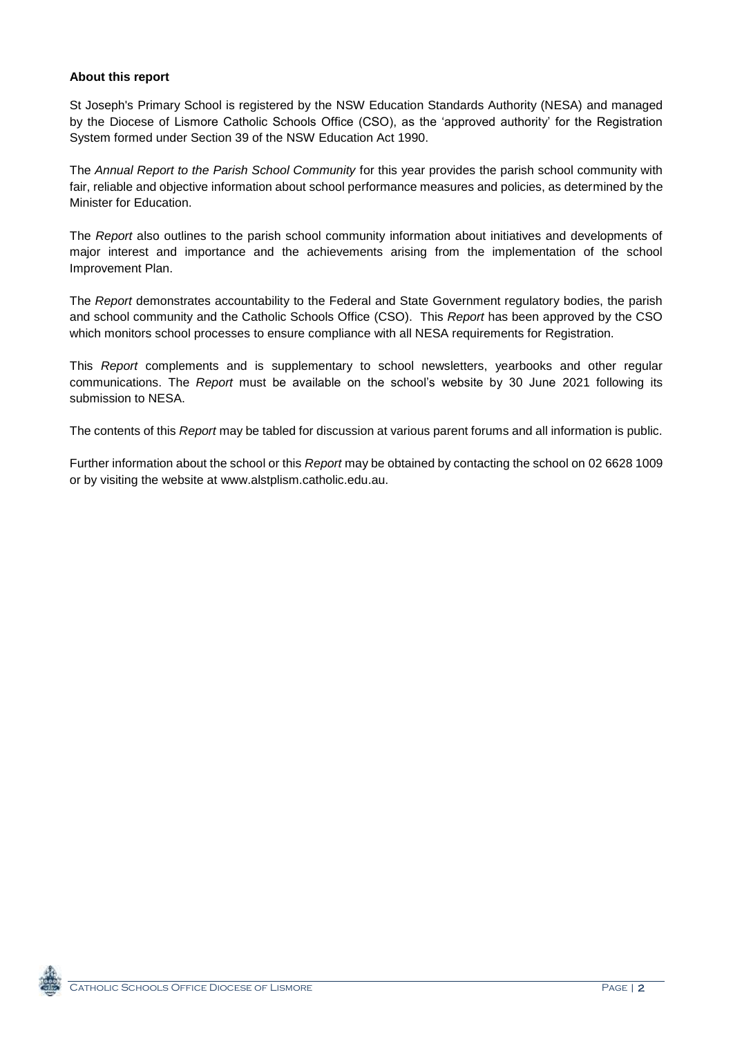#### **About this report**

St Joseph's Primary School is registered by the NSW Education Standards Authority (NESA) and managed by the Diocese of Lismore Catholic Schools Office (CSO), as the 'approved authority' for the Registration System formed under Section 39 of the NSW Education Act 1990.

The *Annual Report to the Parish School Community* for this year provides the parish school community with fair, reliable and objective information about school performance measures and policies, as determined by the Minister for Education.

The *Report* also outlines to the parish school community information about initiatives and developments of major interest and importance and the achievements arising from the implementation of the school Improvement Plan.

The *Report* demonstrates accountability to the Federal and State Government regulatory bodies, the parish and school community and the Catholic Schools Office (CSO). This *Report* has been approved by the CSO which monitors school processes to ensure compliance with all NESA requirements for Registration.

This *Report* complements and is supplementary to school newsletters, yearbooks and other regular communications. The *Report* must be available on the school's website by 30 June 2021 following its submission to NESA.

The contents of this *Report* may be tabled for discussion at various parent forums and all information is public.

Further information about the school or this *Report* may be obtained by contacting the school on 02 6628 1009 or by visiting the website at www.alstplism.catholic.edu.au.

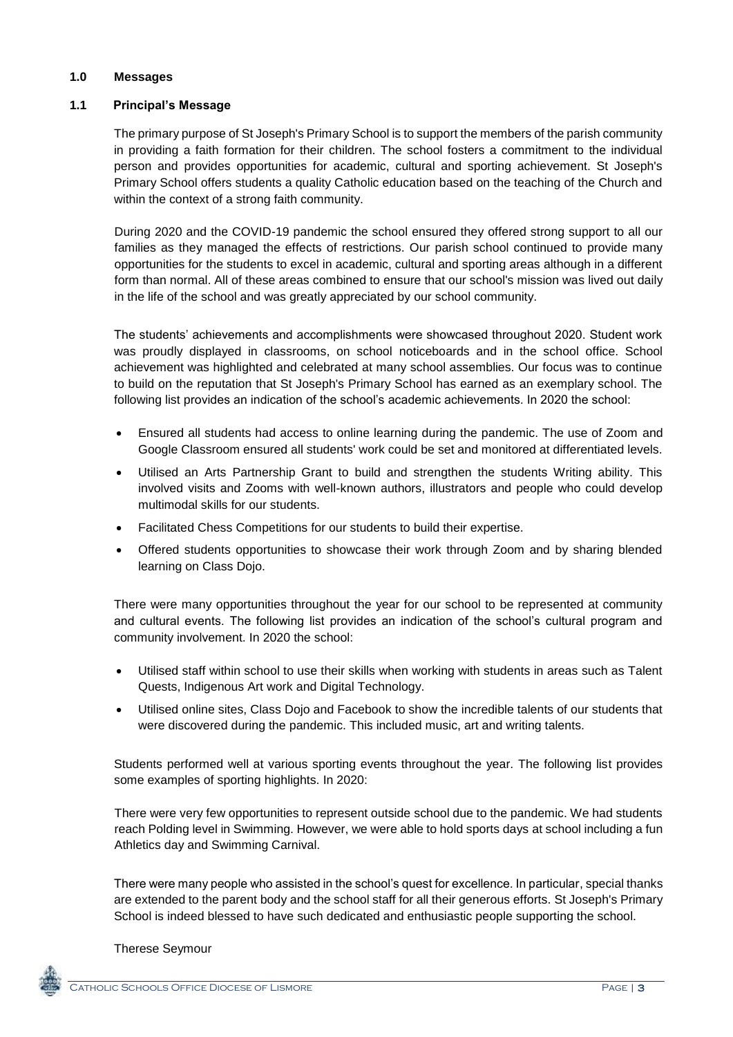#### **1.0 Messages**

#### **1.1 Principal's Message**

The primary purpose of St Joseph's Primary School is to support the members of the parish community in providing a faith formation for their children. The school fosters a commitment to the individual person and provides opportunities for academic, cultural and sporting achievement. St Joseph's Primary School offers students a quality Catholic education based on the teaching of the Church and within the context of a strong faith community.

During 2020 and the COVID-19 pandemic the school ensured they offered strong support to all our families as they managed the effects of restrictions. Our parish school continued to provide many opportunities for the students to excel in academic, cultural and sporting areas although in a different form than normal. All of these areas combined to ensure that our school's mission was lived out daily in the life of the school and was greatly appreciated by our school community.

The students' achievements and accomplishments were showcased throughout 2020. Student work was proudly displayed in classrooms, on school noticeboards and in the school office. School achievement was highlighted and celebrated at many school assemblies. Our focus was to continue to build on the reputation that St Joseph's Primary School has earned as an exemplary school. The following list provides an indication of the school's academic achievements. In 2020 the school:

- Ensured all students had access to online learning during the pandemic. The use of Zoom and Google Classroom ensured all students' work could be set and monitored at differentiated levels.
- Utilised an Arts Partnership Grant to build and strengthen the students Writing ability. This involved visits and Zooms with well-known authors, illustrators and people who could develop multimodal skills for our students.
- Facilitated Chess Competitions for our students to build their expertise.
- Offered students opportunities to showcase their work through Zoom and by sharing blended learning on Class Dojo.

There were many opportunities throughout the year for our school to be represented at community and cultural events. The following list provides an indication of the school's cultural program and community involvement. In 2020 the school:

- Utilised staff within school to use their skills when working with students in areas such as Talent Quests, Indigenous Art work and Digital Technology.
- Utilised online sites, Class Dojo and Facebook to show the incredible talents of our students that were discovered during the pandemic. This included music, art and writing talents.

Students performed well at various sporting events throughout the year. The following list provides some examples of sporting highlights. In 2020:

There were very few opportunities to represent outside school due to the pandemic. We had students reach Polding level in Swimming. However, we were able to hold sports days at school including a fun Athletics day and Swimming Carnival.

There were many people who assisted in the school's quest for excellence. In particular, special thanks are extended to the parent body and the school staff for all their generous efforts. St Joseph's Primary School is indeed blessed to have such dedicated and enthusiastic people supporting the school.

Therese Seymour

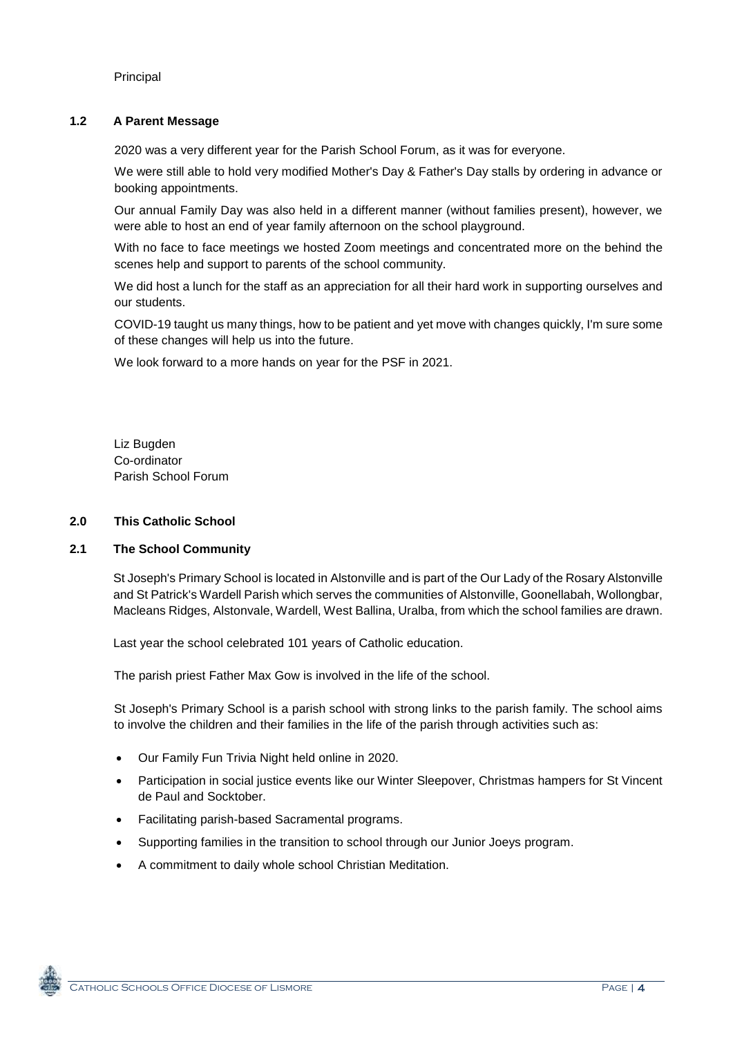Principal

#### **1.2 A Parent Message**

2020 was a very different year for the Parish School Forum, as it was for everyone.

We were still able to hold very modified Mother's Day & Father's Day stalls by ordering in advance or booking appointments.

Our annual Family Day was also held in a different manner (without families present), however, we were able to host an end of year family afternoon on the school playground.

With no face to face meetings we hosted Zoom meetings and concentrated more on the behind the scenes help and support to parents of the school community.

We did host a lunch for the staff as an appreciation for all their hard work in supporting ourselves and our students.

COVID-19 taught us many things, how to be patient and yet move with changes quickly, I'm sure some of these changes will help us into the future.

We look forward to a more hands on year for the PSF in 2021.

Liz Bugden Co-ordinator Parish School Forum

#### **2.0 This Catholic School**

#### **2.1 The School Community**

St Joseph's Primary School is located in Alstonville and is part of the Our Lady of the Rosary Alstonville and St Patrick's Wardell Parish which serves the communities of Alstonville, Goonellabah, Wollongbar, Macleans Ridges, Alstonvale, Wardell, West Ballina, Uralba, from which the school families are drawn.

Last year the school celebrated 101 years of Catholic education.

The parish priest Father Max Gow is involved in the life of the school.

St Joseph's Primary School is a parish school with strong links to the parish family. The school aims to involve the children and their families in the life of the parish through activities such as:

- Our Family Fun Trivia Night held online in 2020.
- Participation in social justice events like our Winter Sleepover, Christmas hampers for St Vincent de Paul and Socktober.
- Facilitating parish-based Sacramental programs.
- Supporting families in the transition to school through our Junior Joeys program.
- A commitment to daily whole school Christian Meditation.

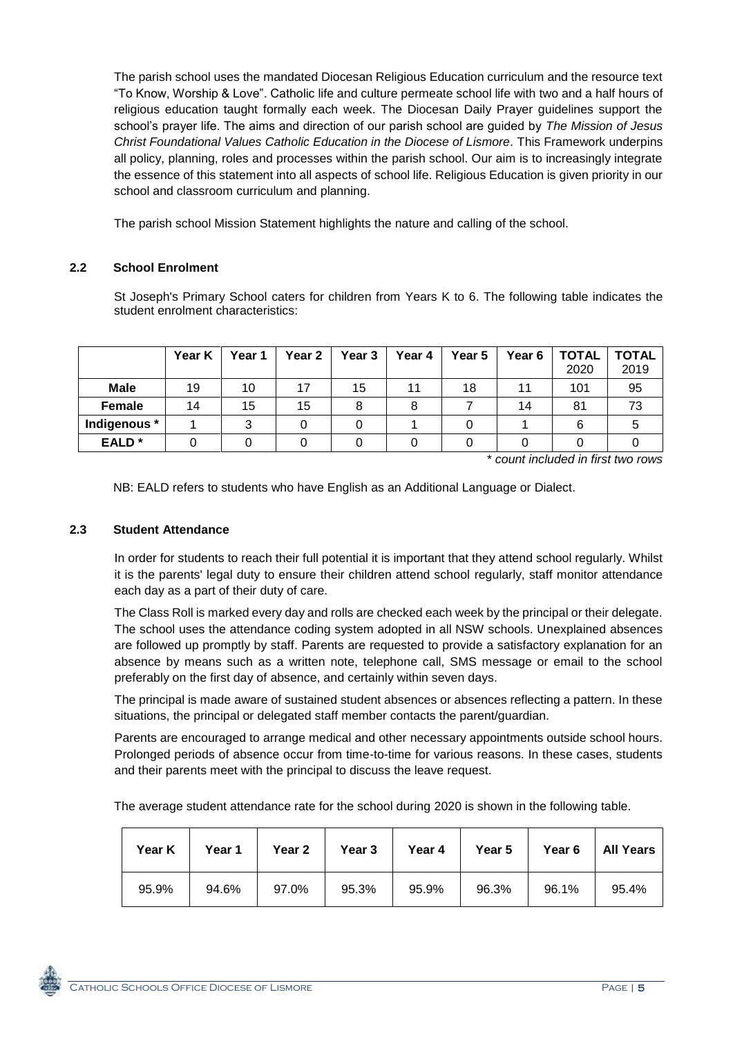The parish school uses the mandated Diocesan Religious Education curriculum and the resource text "To Know, Worship & Love". Catholic life and culture permeate school life with two and a half hours of religious education taught formally each week. The Diocesan Daily Prayer guidelines support the school's prayer life. The aims and direction of our parish school are guided by *The Mission of Jesus Christ Foundational Values Catholic Education in the Diocese of Lismore.* This Framework underpins all policy, planning, roles and processes within the parish school. Our aim is to increasingly integrate the essence of this statement into all aspects of school life. Religious Education is given priority in our school and classroom curriculum and planning.

The parish school Mission Statement highlights the nature and calling of the school.

#### **2.2 School Enrolment**

St Joseph's Primary School caters for children from Years K to 6. The following table indicates the student enrolment characteristics:

|                   | Year K | Year 1 | Year 2 | Year 3 | Year 4 | Year 5 | Year 6 | <b>TOTAL</b><br>2020 | <b>TOTAL</b><br>2019 |
|-------------------|--------|--------|--------|--------|--------|--------|--------|----------------------|----------------------|
| <b>Male</b>       | 19     | 10     | 17     | 15     |        | 18     |        | 101                  | 95                   |
| Female            | 14     | 15     | 15     |        |        |        | 14     | 81                   | 73                   |
| Indigenous *      |        |        |        |        |        |        |        | 6                    |                      |
| EALD <sup>*</sup> |        |        |        |        |        |        |        |                      |                      |

\* *count included in first two rows*

NB: EALD refers to students who have English as an Additional Language or Dialect.

#### **2.3 Student Attendance**

In order for students to reach their full potential it is important that they attend school regularly. Whilst it is the parents' legal duty to ensure their children attend school regularly, staff monitor attendance each day as a part of their duty of care.

The Class Roll is marked every day and rolls are checked each week by the principal or their delegate. The school uses the attendance coding system adopted in all NSW schools. Unexplained absences are followed up promptly by staff. Parents are requested to provide a satisfactory explanation for an absence by means such as a written note, telephone call, SMS message or email to the school preferably on the first day of absence, and certainly within seven days.

The principal is made aware of sustained student absences or absences reflecting a pattern. In these situations, the principal or delegated staff member contacts the parent/guardian.

Parents are encouraged to arrange medical and other necessary appointments outside school hours. Prolonged periods of absence occur from time-to-time for various reasons. In these cases, students and their parents meet with the principal to discuss the leave request.

The average student attendance rate for the school during 2020 is shown in the following table.

| Year K | Year 1 | Year 2 | Year 3 | Year 4 | Year 5 | Year 6 | <b>All Years</b> |
|--------|--------|--------|--------|--------|--------|--------|------------------|
| 95.9%  | 94.6%  | 97.0%  | 95.3%  | 95.9%  | 96.3%  | 96.1%  | 95.4%            |

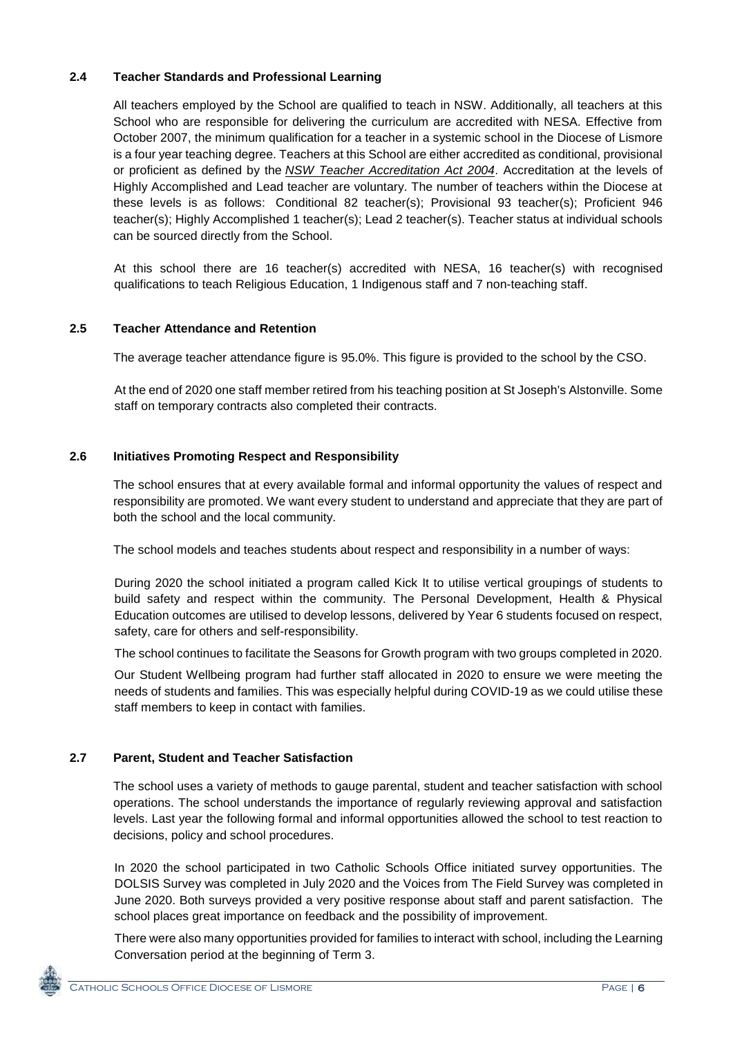#### **2.4 Teacher Standards and Professional Learning**

All teachers employed by the School are qualified to teach in NSW. Additionally, all teachers at this School who are responsible for delivering the curriculum are accredited with NESA. Effective from October 2007, the minimum qualification for a teacher in a systemic school in the Diocese of Lismore is a four year teaching degree. Teachers at this School are either accredited as conditional, provisional or proficient as defined by the *[NSW Teacher Accreditation Act 2004](https://www.legislation.nsw.gov.au/#/view/act/2004/65/part4/div5)*. Accreditation at the levels of Highly Accomplished and Lead teacher are voluntary. The number of teachers within the Diocese at these levels is as follows: Conditional 82 teacher(s); Provisional 93 teacher(s); Proficient 946 teacher(s); Highly Accomplished 1 teacher(s); Lead 2 teacher(s). Teacher status at individual schools can be sourced directly from the School.

At this school there are 16 teacher(s) accredited with NESA, 16 teacher(s) with recognised qualifications to teach Religious Education, 1 Indigenous staff and 7 non-teaching staff.

#### **2.5 Teacher Attendance and Retention**

The average teacher attendance figure is 95.0%. This figure is provided to the school by the CSO.

At the end of 2020 one staff member retired from his teaching position at St Joseph's Alstonville. Some staff on temporary contracts also completed their contracts.

#### **2.6 Initiatives Promoting Respect and Responsibility**

The school ensures that at every available formal and informal opportunity the values of respect and responsibility are promoted. We want every student to understand and appreciate that they are part of both the school and the local community.

The school models and teaches students about respect and responsibility in a number of ways:

During 2020 the school initiated a program called Kick It to utilise vertical groupings of students to build safety and respect within the community. The Personal Development, Health & Physical Education outcomes are utilised to develop lessons, delivered by Year 6 students focused on respect, safety, care for others and self-responsibility.

The school continues to facilitate the Seasons for Growth program with two groups completed in 2020.

Our Student Wellbeing program had further staff allocated in 2020 to ensure we were meeting the needs of students and families. This was especially helpful during COVID-19 as we could utilise these staff members to keep in contact with families.

#### **2.7 Parent, Student and Teacher Satisfaction**

The school uses a variety of methods to gauge parental, student and teacher satisfaction with school operations. The school understands the importance of regularly reviewing approval and satisfaction levels. Last year the following formal and informal opportunities allowed the school to test reaction to decisions, policy and school procedures.

In 2020 the school participated in two Catholic Schools Office initiated survey opportunities. The DOLSIS Survey was completed in July 2020 and the Voices from The Field Survey was completed in June 2020. Both surveys provided a very positive response about staff and parent satisfaction. The school places great importance on feedback and the possibility of improvement.

There were also many opportunities provided for families to interact with school, including the Learning Conversation period at the beginning of Term 3.

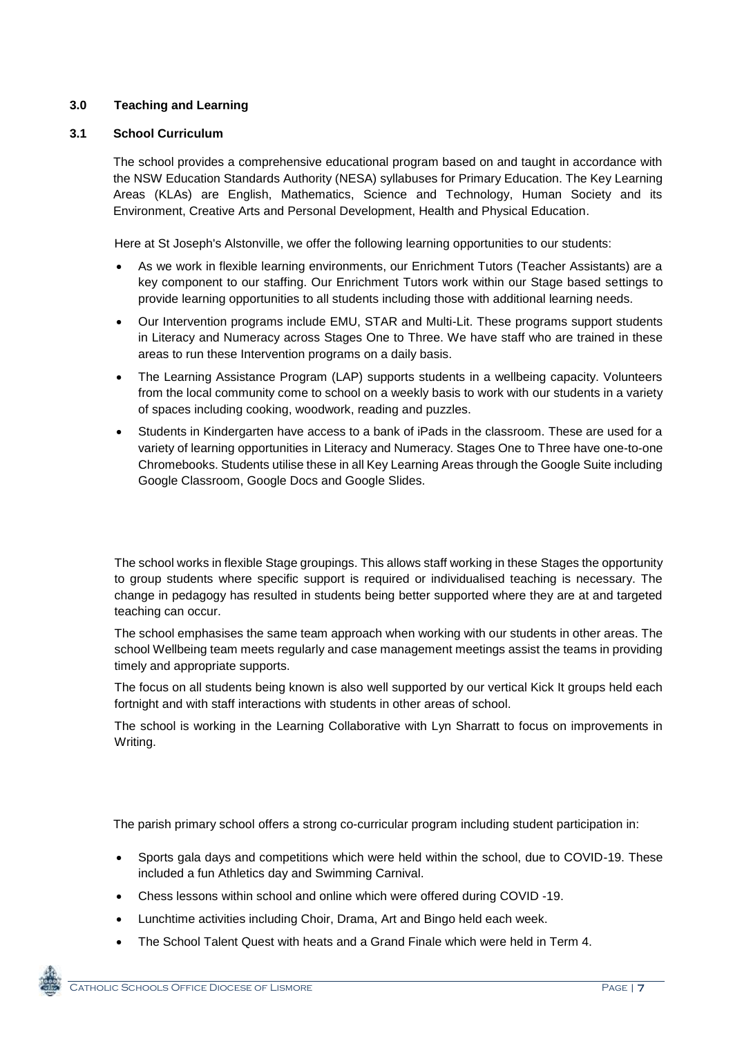#### **3.0 Teaching and Learning**

#### **3.1 School Curriculum**

The school provides a comprehensive educational program based on and taught in accordance with the NSW Education Standards Authority (NESA) syllabuses for Primary Education. The Key Learning Areas (KLAs) are English, Mathematics, Science and Technology, Human Society and its Environment, Creative Arts and Personal Development, Health and Physical Education.

Here at St Joseph's Alstonville, we offer the following learning opportunities to our students:

- As we work in flexible learning environments, our Enrichment Tutors (Teacher Assistants) are a key component to our staffing. Our Enrichment Tutors work within our Stage based settings to provide learning opportunities to all students including those with additional learning needs.
- Our Intervention programs include EMU, STAR and Multi-Lit. These programs support students in Literacy and Numeracy across Stages One to Three. We have staff who are trained in these areas to run these Intervention programs on a daily basis.
- The Learning Assistance Program (LAP) supports students in a wellbeing capacity. Volunteers from the local community come to school on a weekly basis to work with our students in a variety of spaces including cooking, woodwork, reading and puzzles.
- Students in Kindergarten have access to a bank of iPads in the classroom. These are used for a variety of learning opportunities in Literacy and Numeracy. Stages One to Three have one-to-one Chromebooks. Students utilise these in all Key Learning Areas through the Google Suite including Google Classroom, Google Docs and Google Slides.

The school works in flexible Stage groupings. This allows staff working in these Stages the opportunity to group students where specific support is required or individualised teaching is necessary. The change in pedagogy has resulted in students being better supported where they are at and targeted teaching can occur.

The school emphasises the same team approach when working with our students in other areas. The school Wellbeing team meets regularly and case management meetings assist the teams in providing timely and appropriate supports.

The focus on all students being known is also well supported by our vertical Kick It groups held each fortnight and with staff interactions with students in other areas of school.

The school is working in the Learning Collaborative with Lyn Sharratt to focus on improvements in Writing.

The parish primary school offers a strong co-curricular program including student participation in:

- Sports gala days and competitions which were held within the school, due to COVID-19. These included a fun Athletics day and Swimming Carnival.
- Chess lessons within school and online which were offered during COVID -19.
- Lunchtime activities including Choir, Drama, Art and Bingo held each week.
- The School Talent Quest with heats and a Grand Finale which were held in Term 4.

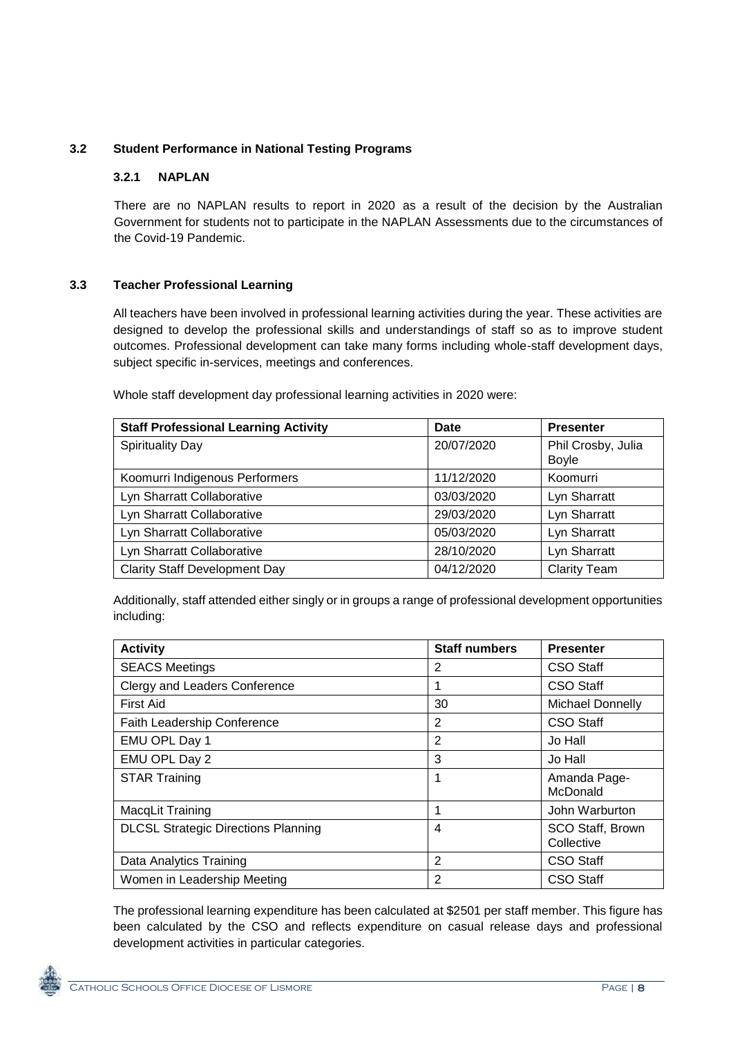### **3.2 Student Performance in National Testing Programs**

#### **3.2.1 NAPLAN**

There are no NAPLAN results to report in 2020 as a result of the decision by the Australian Government for students not to participate in the NAPLAN Assessments due to the circumstances of the Covid-19 Pandemic.

#### **3.3 Teacher Professional Learning**

All teachers have been involved in professional learning activities during the year. These activities are designed to develop the professional skills and understandings of staff so as to improve student outcomes. Professional development can take many forms including whole-staff development days, subject specific in-services, meetings and conferences.

Whole staff development day professional learning activities in 2020 were:

| <b>Staff Professional Learning Activity</b> | <b>Date</b> | <b>Presenter</b>                   |
|---------------------------------------------|-------------|------------------------------------|
| <b>Spirituality Day</b>                     | 20/07/2020  | Phil Crosby, Julia<br><b>Boyle</b> |
| Koomurri Indigenous Performers              | 11/12/2020  | Koomurri                           |
| Lyn Sharratt Collaborative                  | 03/03/2020  | Lyn Sharratt                       |
| Lyn Sharratt Collaborative                  | 29/03/2020  | Lyn Sharratt                       |
| Lyn Sharratt Collaborative                  | 05/03/2020  | Lyn Sharratt                       |
| Lyn Sharratt Collaborative                  | 28/10/2020  | Lyn Sharratt                       |
| <b>Clarity Staff Development Day</b>        | 04/12/2020  | <b>Clarity Team</b>                |

Additionally, staff attended either singly or in groups a range of professional development opportunities including:

| <b>Activity</b>                            | <b>Staff numbers</b> | <b>Presenter</b>               |  |  |
|--------------------------------------------|----------------------|--------------------------------|--|--|
| <b>SEACS Meetings</b>                      | 2                    | <b>CSO Staff</b>               |  |  |
| Clergy and Leaders Conference              |                      | CSO Staff                      |  |  |
| <b>First Aid</b>                           | 30                   | <b>Michael Donnelly</b>        |  |  |
| Faith Leadership Conference                | 2                    | CSO Staff                      |  |  |
| EMU OPL Day 1                              | 2                    | Jo Hall                        |  |  |
| EMU OPL Day 2                              | 3                    | Jo Hall                        |  |  |
| <b>STAR Training</b>                       | 1                    | Amanda Page-<br>McDonald       |  |  |
| MacqLit Training                           |                      | John Warburton                 |  |  |
| <b>DLCSL Strategic Directions Planning</b> | 4                    | SCO Staff, Brown<br>Collective |  |  |
| Data Analytics Training                    | 2                    | <b>CSO Staff</b>               |  |  |
| Women in Leadership Meeting                | 2                    | CSO Staff                      |  |  |

The professional learning expenditure has been calculated at \$2501 per staff member. This figure has been calculated by the CSO and reflects expenditure on casual release days and professional development activities in particular categories.

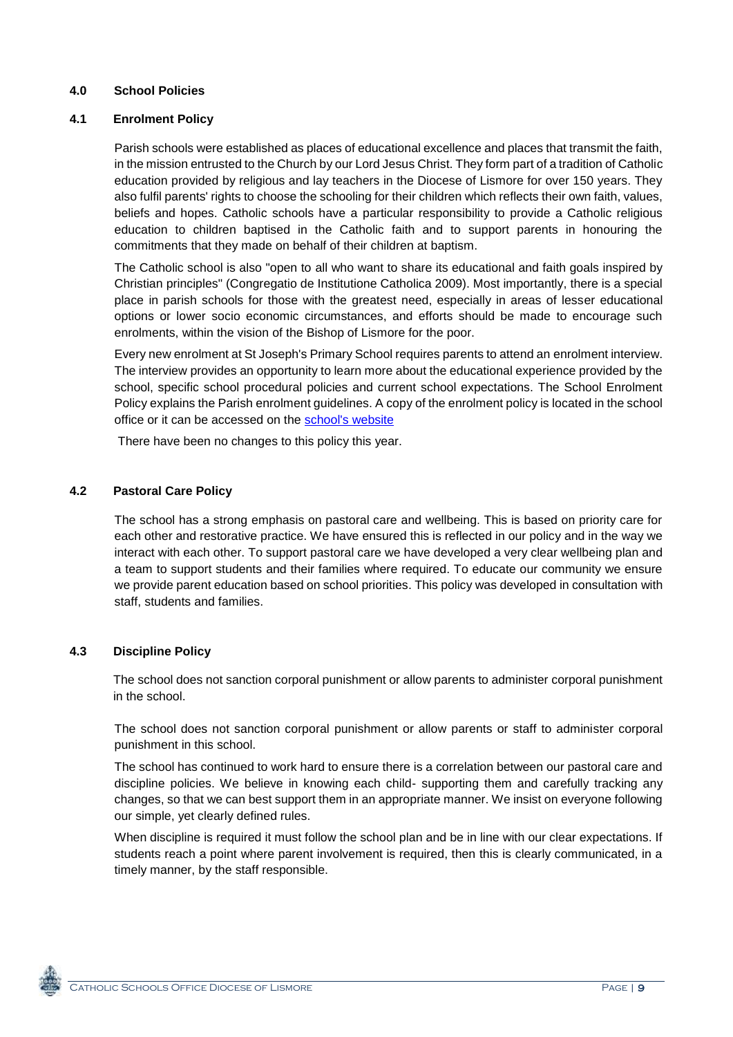#### **4.0 School Policies**

#### **4.1 Enrolment Policy**

Parish schools were established as places of educational excellence and places that transmit the faith, in the mission entrusted to the Church by our Lord Jesus Christ. They form part of a tradition of Catholic education provided by religious and lay teachers in the Diocese of Lismore for over 150 years. They also fulfil parents' rights to choose the schooling for their children which reflects their own faith, values, beliefs and hopes. Catholic schools have a particular responsibility to provide a Catholic religious education to children baptised in the Catholic faith and to support parents in honouring the commitments that they made on behalf of their children at baptism.

The Catholic school is also "open to all who want to share its educational and faith goals inspired by Christian principles" (Congregatio de Institutione Catholica 2009). Most importantly, there is a special place in parish schools for those with the greatest need, especially in areas of lesser educational options or lower socio economic circumstances, and efforts should be made to encourage such enrolments, within the vision of the Bishop of Lismore for the poor.

Every new enrolment at St Joseph's Primary School requires parents to attend an enrolment interview. The interview provides an opportunity to learn more about the educational experience provided by the school, specific school procedural policies and current school expectations. The School Enrolment Policy explains the Parish enrolment guidelines. A copy of the enrolment policy is located in the school office or it can be accessed on the [school's website](https://www.alstplism.catholic.edu.au/policies/)

There have been no changes to this policy this year.

#### **4.2 Pastoral Care Policy**

The school has a strong emphasis on pastoral care and wellbeing. This is based on priority care for each other and restorative practice. We have ensured this is reflected in our policy and in the way we interact with each other. To support pastoral care we have developed a very clear wellbeing plan and a team to support students and their families where required. To educate our community we ensure we provide parent education based on school priorities. This policy was developed in consultation with staff, students and families.

#### **4.3 Discipline Policy**

The school does not sanction corporal punishment or allow parents to administer corporal punishment in the school.

The school does not sanction corporal punishment or allow parents or staff to administer corporal punishment in this school.

The school has continued to work hard to ensure there is a correlation between our pastoral care and discipline policies. We believe in knowing each child- supporting them and carefully tracking any changes, so that we can best support them in an appropriate manner. We insist on everyone following our simple, yet clearly defined rules.

When discipline is required it must follow the school plan and be in line with our clear expectations. If students reach a point where parent involvement is required, then this is clearly communicated, in a timely manner, by the staff responsible.

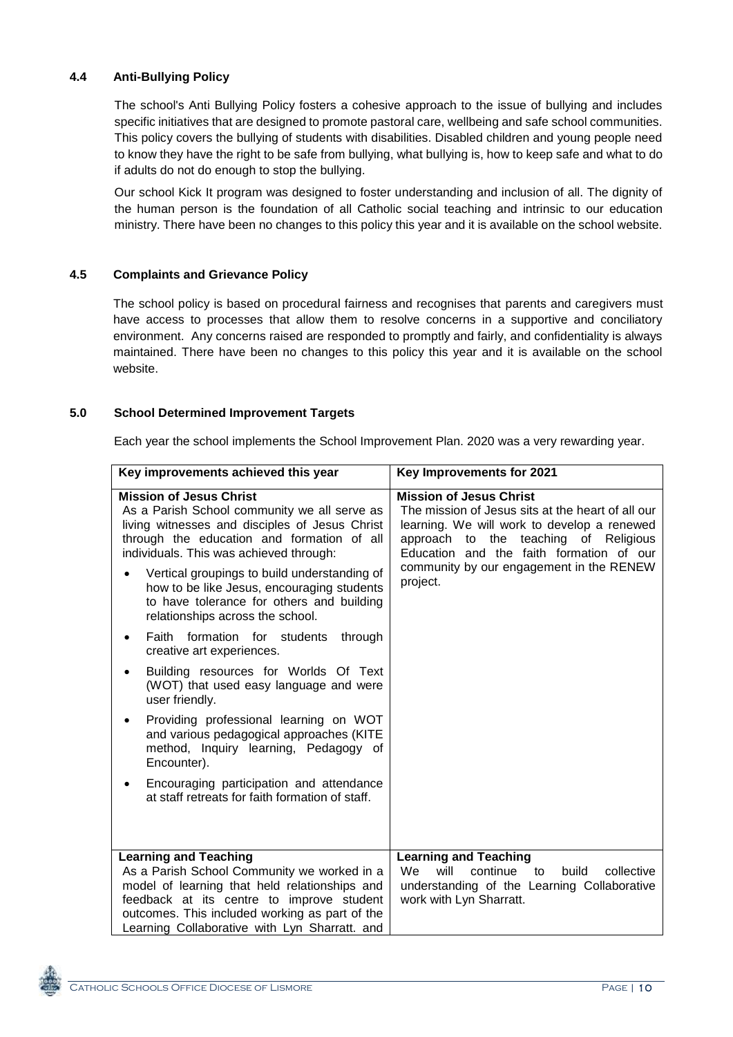### **4.4 Anti-Bullying Policy**

The school's Anti Bullying Policy fosters a cohesive approach to the issue of bullying and includes specific initiatives that are designed to promote pastoral care, wellbeing and safe school communities. This policy covers the bullying of students with disabilities. Disabled children and young people need to know they have the right to be safe from bullying, what bullying is, how to keep safe and what to do if adults do not do enough to stop the bullying.

Our school Kick It program was designed to foster understanding and inclusion of all. The dignity of the human person is the foundation of all Catholic social teaching and intrinsic to our education ministry. There have been no changes to this policy this year and it is available on the school website.

#### **4.5 Complaints and Grievance Policy**

The school policy is based on procedural fairness and recognises that parents and caregivers must have access to processes that allow them to resolve concerns in a supportive and conciliatory environment. Any concerns raised are responded to promptly and fairly, and confidentiality is always maintained. There have been no changes to this policy this year and it is available on the school website.

#### **5.0 School Determined Improvement Targets**

Each year the school implements the School Improvement Plan. 2020 was a very rewarding year.

| Key improvements achieved this year                                                                                                                                                                                                                                                                                                                                                                                                                                                                                                                                                                                                                                                                                                                                                                                                | Key Improvements for 2021                                                                                                                                                                                                                                                       |
|------------------------------------------------------------------------------------------------------------------------------------------------------------------------------------------------------------------------------------------------------------------------------------------------------------------------------------------------------------------------------------------------------------------------------------------------------------------------------------------------------------------------------------------------------------------------------------------------------------------------------------------------------------------------------------------------------------------------------------------------------------------------------------------------------------------------------------|---------------------------------------------------------------------------------------------------------------------------------------------------------------------------------------------------------------------------------------------------------------------------------|
| <b>Mission of Jesus Christ</b><br>As a Parish School community we all serve as<br>living witnesses and disciples of Jesus Christ<br>through the education and formation of all<br>individuals. This was achieved through:<br>Vertical groupings to build understanding of<br>how to be like Jesus, encouraging students<br>to have tolerance for others and building<br>relationships across the school.<br>Faith formation for students<br>through<br>creative art experiences.<br>Building resources for Worlds Of Text<br>(WOT) that used easy language and were<br>user friendly.<br>Providing professional learning on WOT<br>and various pedagogical approaches (KITE<br>method, Inquiry learning, Pedagogy of<br>Encounter).<br>Encouraging participation and attendance<br>at staff retreats for faith formation of staff. | <b>Mission of Jesus Christ</b><br>The mission of Jesus sits at the heart of all our<br>learning. We will work to develop a renewed<br>approach to the teaching of Religious<br>Education and the faith formation of our<br>community by our engagement in the RENEW<br>project. |
| <b>Learning and Teaching</b><br>As a Parish School Community we worked in a<br>model of learning that held relationships and<br>feedback at its centre to improve student<br>outcomes. This included working as part of the<br>Learning Collaborative with Lyn Sharratt. and                                                                                                                                                                                                                                                                                                                                                                                                                                                                                                                                                       | <b>Learning and Teaching</b><br><b>We</b><br>continue to<br>will<br>collective<br>build<br>understanding of the Learning Collaborative<br>work with Lyn Sharratt.                                                                                                               |

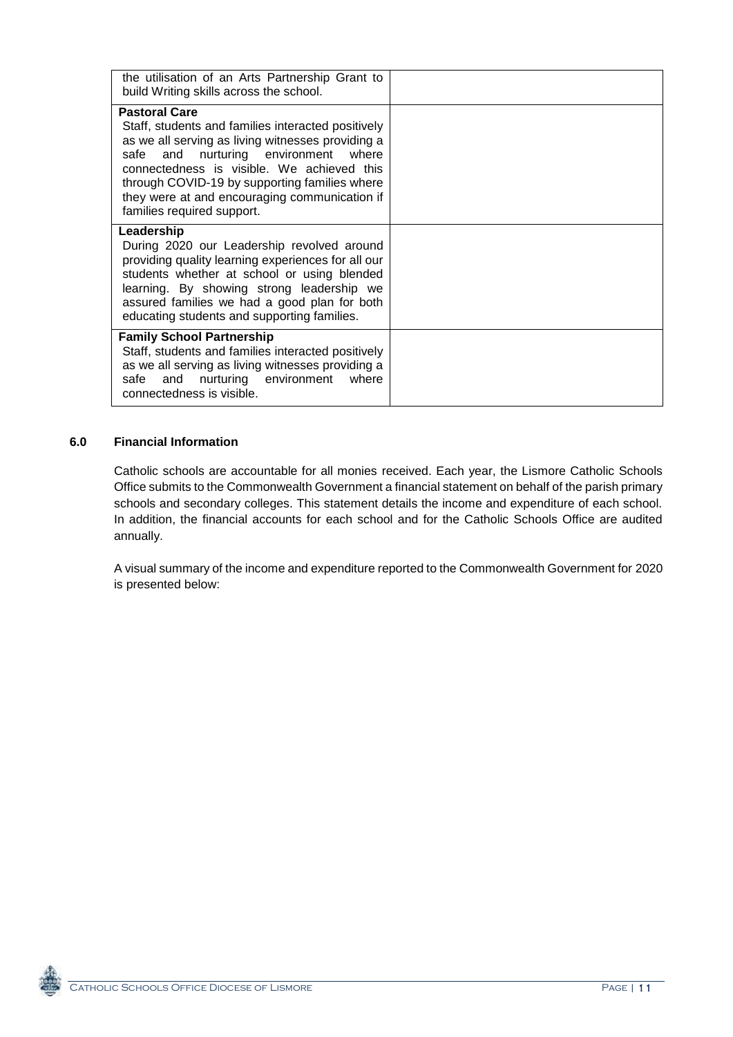| the utilisation of an Arts Partnership Grant to<br>build Writing skills across the school.                                                                                                                                                                                                                                                            |  |
|-------------------------------------------------------------------------------------------------------------------------------------------------------------------------------------------------------------------------------------------------------------------------------------------------------------------------------------------------------|--|
| <b>Pastoral Care</b><br>Staff, students and families interacted positively<br>as we all serving as living witnesses providing a<br>safe and nurturing environment where<br>connectedness is visible. We achieved this<br>through COVID-19 by supporting families where<br>they were at and encouraging communication if<br>families required support. |  |
| Leadership<br>During 2020 our Leadership revolved around<br>providing quality learning experiences for all our<br>students whether at school or using blended<br>learning. By showing strong leadership we<br>assured families we had a good plan for both<br>educating students and supporting families.                                             |  |
| <b>Family School Partnership</b><br>Staff, students and families interacted positively<br>as we all serving as living witnesses providing a<br>safe<br>nurturing environment<br>and<br>where<br>connectedness is visible.                                                                                                                             |  |

### **6.0 Financial Information**

Catholic schools are accountable for all monies received. Each year, the Lismore Catholic Schools Office submits to the Commonwealth Government a financial statement on behalf of the parish primary schools and secondary colleges. This statement details the income and expenditure of each school. In addition, the financial accounts for each school and for the Catholic Schools Office are audited annually.

A visual summary of the income and expenditure reported to the Commonwealth Government for 2020 is presented below: